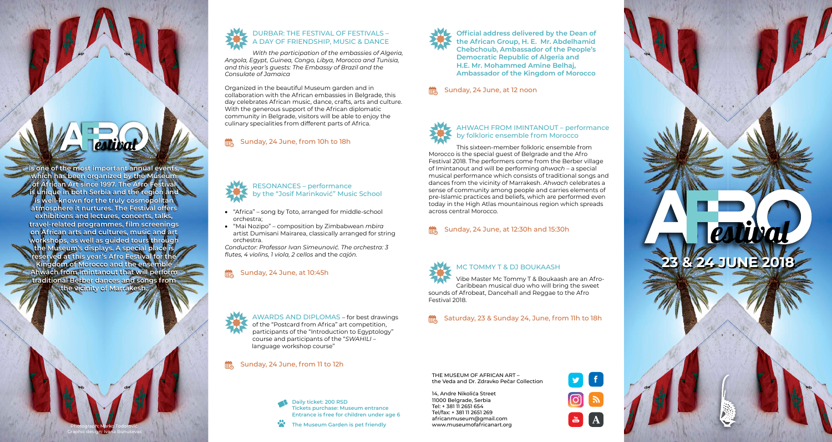**is one of the most important annual events,** 

**which has been organized by the Museum of African Art since 1997. The Afro Festival is unique in both Serbia and the region and is well-known for the truly cosmopolitan atmosphere it nurtures. The Festival offers exhibitions and lectures, concerts, talks, travel-related programmes, film screenings on African arts and cultures, music and art workshops, as well as guided tours through** 

**the Museum's displays. A special place is reserved at this year's Afro Festival for the Kingdom of Morocco and the ensemble Ahwach from Imintanout that will perform traditional Berber dances and songs from the vicinity of Marrakesh.**

> Photograph: Marko Todorović Graphic design: Ivana Bunuševac



#### DURBАR: THE FESTIVAL OF FESTIVALS – A DAY OF FRIENDSHIP, MUSIC & DANCE

*With the participation of the embassies of Algeria, Angola, Egypt, Guinea, Congo, Libya, Morocco and Tunisia, and this year's guests: The Embassy of Brazil and the Consulate of Jamaica* 

Organized in the beautiful Museum garden and in collaboration with the African embassies in Belgrade, this day celebrates African music, dance, crafts, arts and culture. With the generous support of the African diplomatic community in Belgrade, visitors will be able to enjoy the culinary specialities from different parts of Africa.

#### $\frac{000}{1120}$ Sunday, 24 June, from 10h to 18h

#### RESONANCES – performance by the "Јоsif Маrinkоvić" Music School

- "Africa" song by Toto, arranged for middle-school orchestra;
- • "Маi Nоzipо" composition by Zimbabwean *mbira* artist Dumisаni Маirаrеа, classically arranged for string orchestra.

*Conductor: Professor Ivаn Simеunоvić. The orchestra: 3 flutes, 4 violins, 1 viola, 2 cellos* and the *cajón.* 

## **EXALUATE:** Sunday, 24 June, at 10:45h

AWARDS AND DIPLOMAS – for best drawings of the "Postcard from Africa" art competition, participants of the "Introduction to Egyptology" course and participants of the "*SWAHILI* – language workshop course"

#### Sunday, 24 June, from 11 to 12h

**Daily ticket: 200 RSD Tickets purchase: Museum entrance Entrance is free for children under age 6**

**The Museum Garden is pet friendly**

**Official address delivered by the Dean of** 

**the African Group, H. E. Mr. Abdelhamid Chebchoub, Ambassador of the People's Democratic Republic of Algeria and H.E. Mr. Mohammed Amine Belhaj, Ambassador of the Kingdom of Morocco**

Sunday, 24 June, at 12 noon



#### AHWACH FROM IMINTANOUT – performance by folkloric ensemble from Morocco

This sixteen-member folkloric ensemble from Morocco is the special guest of Belgrade and the Afro Festival 2018. The performers come from the Berber village of Imintanout and will be performing *ahwach* – a special musical performance which consists of traditional songs and dances from the vicinity of Marrakesh. *Ahwach* celebrates a sense of community among people and carries elements of pre-Islamic practices and beliefs, which are performed even today in the High Atlas mountainous region which spreads across central Morocco.

## Sunday, 24 June, at 12:30h and 15:30h

#### MC TOMMY T & DJ BOUKAASH

Vibe Master Mc Tommy T & Boukaash are an Afro-Caribbean musical duo who will bring the sweet sounds of Afrobeat, Dancehall and Reggae to the Afro Festival 2018.

Saturday, 23 & Sunday 24, June, from 11h to 18h

THE MUSEUM OF AFRICAN ART – the Veda and Dr. Zdravko Pečar Collection

14, Andre Nikolića Street 11000 Belgrade, Serbia Tel: + 381 11 2651 654 Tel/fax: + 381 11 2651 269 [africanmuseum@gmail.com](mailto:africanmuseum@gmail.com) [www.museumofafricanart.org](http://www.museumofafricanart.org)